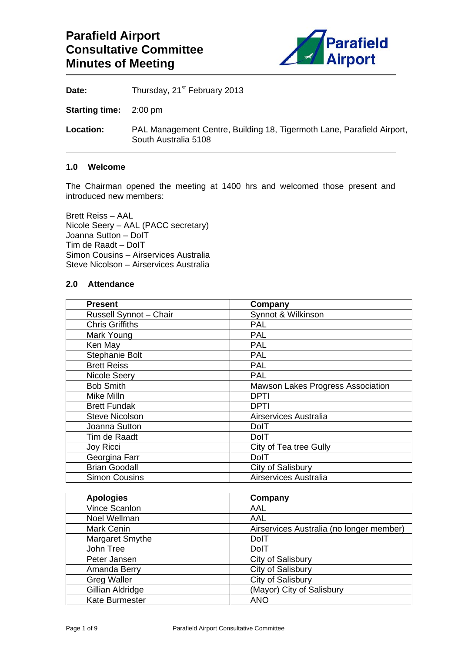

Date: Thursday, 21<sup>st</sup> February 2013

**Starting time:** 2:00 pm

**Location:** PAL Management Centre, Building 18, Tigermoth Lane, Parafield Airport, South Australia 5108

## **1.0 Welcome**

The Chairman opened the meeting at 1400 hrs and welcomed those present and introduced new members:

Brett Reiss – AAL Nicole Seery – AAL (PACC secretary) Joanna Sutton – DoIT Tim de Raadt – DoIT Simon Cousins – Airservices Australia Steve Nicolson – Airservices Australia

## **2.0 Attendance**

| <b>Present</b>         | Company                                  |
|------------------------|------------------------------------------|
| Russell Synnot - Chair | Synnot & Wilkinson                       |
| <b>Chris Griffiths</b> | <b>PAL</b>                               |
| Mark Young             | <b>PAL</b>                               |
| Ken May                | <b>PAL</b>                               |
| Stephanie Bolt         | <b>PAL</b>                               |
| <b>Brett Reiss</b>     | <b>PAL</b>                               |
| Nicole Seery           | <b>PAL</b>                               |
| <b>Bob Smith</b>       | <b>Mawson Lakes Progress Association</b> |
| Mike Milln             | <b>DPTI</b>                              |
| <b>Brett Fundak</b>    | DPTI                                     |
| <b>Steve Nicolson</b>  | Airservices Australia                    |
| Joanna Sutton          | DolT                                     |
| Tim de Raadt           | DolT                                     |
| Joy Ricci              | City of Tea tree Gully                   |
| Georgina Farr          | <b>DolT</b>                              |
| <b>Brian Goodall</b>   | City of Salisbury                        |
| <b>Simon Cousins</b>   | Airservices Australia                    |

| <b>Apologies</b>      | Company                                  |
|-----------------------|------------------------------------------|
| Vince Scanlon         | AAL                                      |
| Noel Wellman          | AAL                                      |
| <b>Mark Cenin</b>     | Airservices Australia (no longer member) |
| Margaret Smythe       | DolT                                     |
| John Tree             | <b>DolT</b>                              |
| Peter Jansen          | City of Salisbury                        |
| Amanda Berry          | City of Salisbury                        |
| <b>Greg Waller</b>    | City of Salisbury                        |
| Gillian Aldridge      | (Mayor) City of Salisbury                |
| <b>Kate Burmester</b> | <b>ANO</b>                               |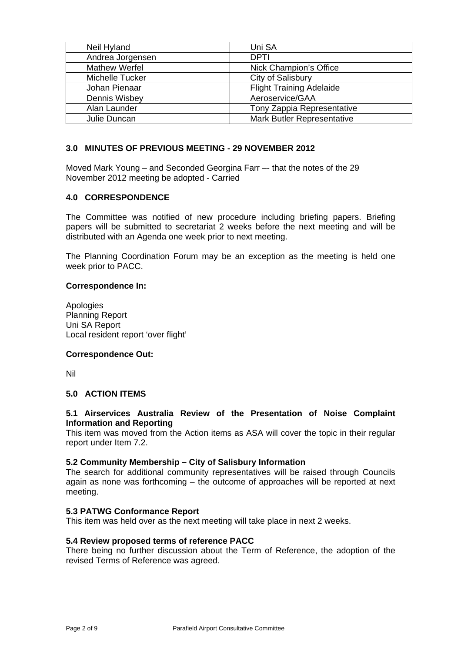| Neil Hyland      | Uni SA                            |
|------------------|-----------------------------------|
| Andrea Jorgensen | <b>DPTI</b>                       |
| Mathew Werfel    | Nick Champion's Office            |
| Michelle Tucker  | City of Salisbury                 |
| Johan Pienaar    | <b>Flight Training Adelaide</b>   |
| Dennis Wisbey    | Aeroservice/GAA                   |
| Alan Launder     | Tony Zappia Representative        |
| Julie Duncan     | <b>Mark Butler Representative</b> |

## **3.0 MINUTES OF PREVIOUS MEETING - 29 NOVEMBER 2012**

Moved Mark Young – and Seconded Georgina Farr –- that the notes of the 29 November 2012 meeting be adopted - Carried

### **4.0 CORRESPONDENCE**

The Committee was notified of new procedure including briefing papers. Briefing papers will be submitted to secretariat 2 weeks before the next meeting and will be distributed with an Agenda one week prior to next meeting.

The Planning Coordination Forum may be an exception as the meeting is held one week prior to PACC.

### **Correspondence In:**

Apologies Planning Report Uni SA Report Local resident report 'over flight'

### **Correspondence Out:**

Nil

### **5.0 ACTION ITEMS**

### **5.1 Airservices Australia Review of the Presentation of Noise Complaint Information and Reporting**

This item was moved from the Action items as ASA will cover the topic in their regular report under Item 7.2.

### **5.2 Community Membership – City of Salisbury Information**

The search for additional community representatives will be raised through Councils again as none was forthcoming – the outcome of approaches will be reported at next meeting.

### **5.3 PATWG Conformance Report**

This item was held over as the next meeting will take place in next 2 weeks.

### **5.4 Review proposed terms of reference PACC**

There being no further discussion about the Term of Reference, the adoption of the revised Terms of Reference was agreed.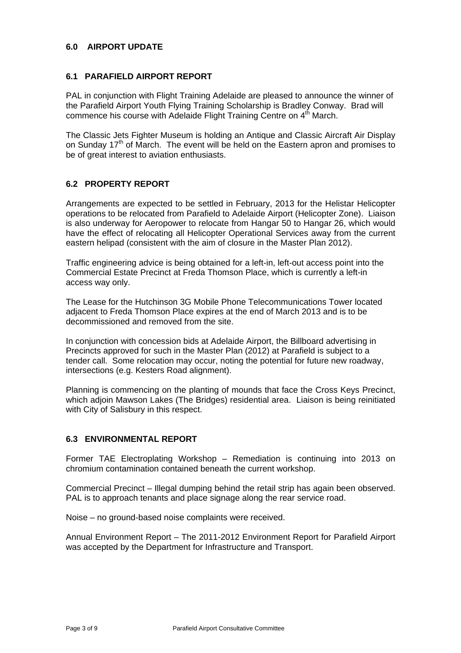## **6.0 AIRPORT UPDATE**

## **6.1 PARAFIELD AIRPORT REPORT**

PAL in conjunction with Flight Training Adelaide are pleased to announce the winner of the Parafield Airport Youth Flying Training Scholarship is Bradley Conway. Brad will commence his course with Adelaide Flight Training Centre on 4<sup>th</sup> March.

The Classic Jets Fighter Museum is holding an Antique and Classic Aircraft Air Display on Sunday  $17<sup>th</sup>$  of March. The event will be held on the Eastern apron and promises to be of great interest to aviation enthusiasts.

## **6.2 PROPERTY REPORT**

Arrangements are expected to be settled in February, 2013 for the Helistar Helicopter operations to be relocated from Parafield to Adelaide Airport (Helicopter Zone). Liaison is also underway for Aeropower to relocate from Hangar 50 to Hangar 26, which would have the effect of relocating all Helicopter Operational Services away from the current eastern helipad (consistent with the aim of closure in the Master Plan 2012).

Traffic engineering advice is being obtained for a left-in, left-out access point into the Commercial Estate Precinct at Freda Thomson Place, which is currently a left-in access way only.

The Lease for the Hutchinson 3G Mobile Phone Telecommunications Tower located adjacent to Freda Thomson Place expires at the end of March 2013 and is to be decommissioned and removed from the site.

In conjunction with concession bids at Adelaide Airport, the Billboard advertising in Precincts approved for such in the Master Plan (2012) at Parafield is subject to a tender call. Some relocation may occur, noting the potential for future new roadway, intersections (e.g. Kesters Road alignment).

Planning is commencing on the planting of mounds that face the Cross Keys Precinct, which adjoin Mawson Lakes (The Bridges) residential area. Liaison is being reinitiated with City of Salisbury in this respect.

# **6.3 ENVIRONMENTAL REPORT**

Former TAE Electroplating Workshop – Remediation is continuing into 2013 on chromium contamination contained beneath the current workshop.

Commercial Precinct – Illegal dumping behind the retail strip has again been observed. PAL is to approach tenants and place signage along the rear service road.

Noise – no ground-based noise complaints were received.

Annual Environment Report – The 2011-2012 Environment Report for Parafield Airport was accepted by the Department for Infrastructure and Transport.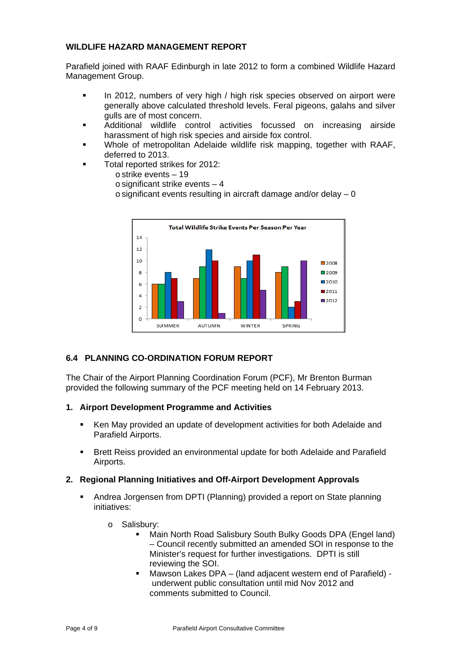# **WILDLIFE HAZARD MANAGEMENT REPORT**

Parafield joined with RAAF Edinburgh in late 2012 to form a combined Wildlife Hazard Management Group.

- In 2012, numbers of very high / high risk species observed on airport were generally above calculated threshold levels. Feral pigeons, galahs and silver gulls are of most concern.
- Additional wildlife control activities focussed on increasing airside harassment of high risk species and airside fox control.
- Whole of metropolitan Adelaide wildlife risk mapping, together with RAAF, deferred to 2013.
- Total reported strikes for 2012:
	- o strike events 19
	- $\circ$  significant strike events  $-4$
	- $\circ$  significant events resulting in aircraft damage and/or delay  $-0$



## **6.4 PLANNING CO-ORDINATION FORUM REPORT**

The Chair of the Airport Planning Coordination Forum (PCF), Mr Brenton Burman provided the following summary of the PCF meeting held on 14 February 2013.

## **1. Airport Development Programme and Activities**

- Ken May provided an update of development activities for both Adelaide and Parafield Airports.
- Brett Reiss provided an environmental update for both Adelaide and Parafield Airports.

## **2. Regional Planning Initiatives and Off-Airport Development Approvals**

- Andrea Jorgensen from DPTI (Planning) provided a report on State planning initiatives:
	- o Salisbury:
		- Main North Road Salisbury South Bulky Goods DPA (Engel land) – Council recently submitted an amended SOI in response to the Minister's request for further investigations. DPTI is still reviewing the SOI.
		- Mawson Lakes DPA (land adjacent western end of Parafield) underwent public consultation until mid Nov 2012 and comments submitted to Council.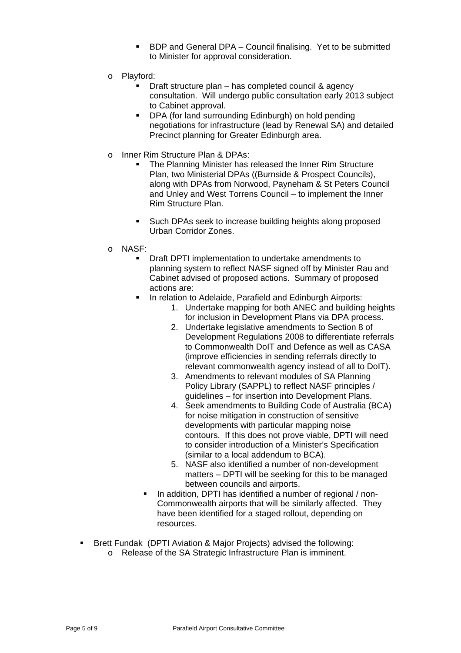- **BDP** and General DPA Council finalising. Yet to be submitted to Minister for approval consideration.
- o Playford:
	- Draft structure plan has completed council & agency consultation. Will undergo public consultation early 2013 subject to Cabinet approval.
	- **DPA (for land surrounding Edinburgh) on hold pending** negotiations for infrastructure (lead by Renewal SA) and detailed Precinct planning for Greater Edinburgh area.
- o Inner Rim Structure Plan & DPAs:
	- The Planning Minister has released the Inner Rim Structure Plan, two Ministerial DPAs ((Burnside & Prospect Councils), along with DPAs from Norwood, Payneham & St Peters Council and Unley and West Torrens Council – to implement the Inner Rim Structure Plan.
	- Such DPAs seek to increase building heights along proposed Urban Corridor Zones.
- o NASF:
	- Draft DPTI implementation to undertake amendments to planning system to reflect NASF signed off by Minister Rau and Cabinet advised of proposed actions. Summary of proposed actions are:
	- **IF In relation to Adelaide, Parafield and Edinburgh Airports:** 
		- 1. Undertake mapping for both ANEC and building heights for inclusion in Development Plans via DPA process.
		- 2. Undertake legislative amendments to Section 8 of Development Regulations 2008 to differentiate referrals to Commonwealth DoIT and Defence as well as CASA (improve efficiencies in sending referrals directly to relevant commonwealth agency instead of all to DoIT).
		- 3. Amendments to relevant modules of SA Planning Policy Library (SAPPL) to reflect NASF principles / guidelines – for insertion into Development Plans.
		- 4. Seek amendments to Building Code of Australia (BCA) for noise mitigation in construction of sensitive developments with particular mapping noise contours. If this does not prove viable, DPTI will need to consider introduction of a Minister's Specification (similar to a local addendum to BCA).
		- 5. NASF also identified a number of non-development matters – DPTI will be seeking for this to be managed between councils and airports.
		- In addition, DPTI has identified a number of regional / non-Commonwealth airports that will be similarly affected. They have been identified for a staged rollout, depending on resources.
- Brett Fundak (DPTI Aviation & Major Projects) advised the following: o Release of the SA Strategic Infrastructure Plan is imminent.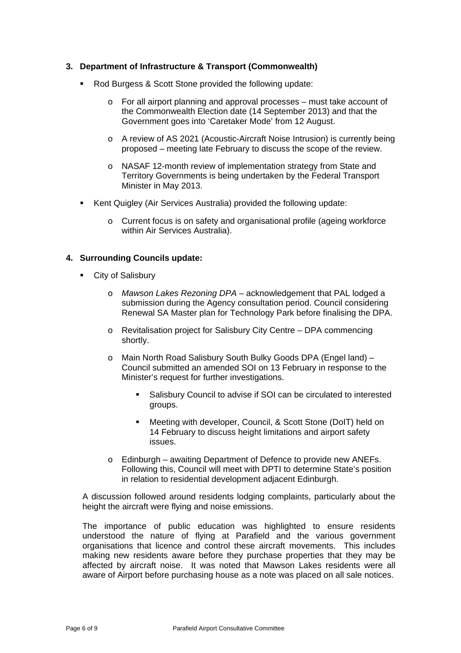## **3. Department of Infrastructure & Transport (Commonwealth)**

- Rod Burgess & Scott Stone provided the following update:
	- $\circ$  For all airport planning and approval processes must take account of the Commonwealth Election date (14 September 2013) and that the Government goes into 'Caretaker Mode' from 12 August.
	- o A review of AS 2021 (Acoustic-Aircraft Noise Intrusion) is currently being proposed – meeting late February to discuss the scope of the review.
	- o NASAF 12-month review of implementation strategy from State and Territory Governments is being undertaken by the Federal Transport Minister in May 2013.
- Kent Quigley (Air Services Australia) provided the following update:
	- o Current focus is on safety and organisational profile (ageing workforce within Air Services Australia).

### **4. Surrounding Councils update:**

- **City of Salisbury** 
	- o *Mawson Lakes Rezoning DPA* acknowledgement that PAL lodged a submission during the Agency consultation period. Council considering Renewal SA Master plan for Technology Park before finalising the DPA.
	- o Revitalisation project for Salisbury City Centre DPA commencing shortly.
	- o Main North Road Salisbury South Bulky Goods DPA (Engel land) Council submitted an amended SOI on 13 February in response to the Minister's request for further investigations.
		- Salisbury Council to advise if SOI can be circulated to interested groups.
		- Meeting with developer, Council, & Scott Stone (DoIT) held on 14 February to discuss height limitations and airport safety issues.
	- o Edinburgh awaiting Department of Defence to provide new ANEFs. Following this, Council will meet with DPTI to determine State's position in relation to residential development adjacent Edinburgh.

A discussion followed around residents lodging complaints, particularly about the height the aircraft were flying and noise emissions.

The importance of public education was highlighted to ensure residents understood the nature of flying at Parafield and the various government organisations that licence and control these aircraft movements. This includes making new residents aware before they purchase properties that they may be affected by aircraft noise. It was noted that Mawson Lakes residents were all aware of Airport before purchasing house as a note was placed on all sale notices.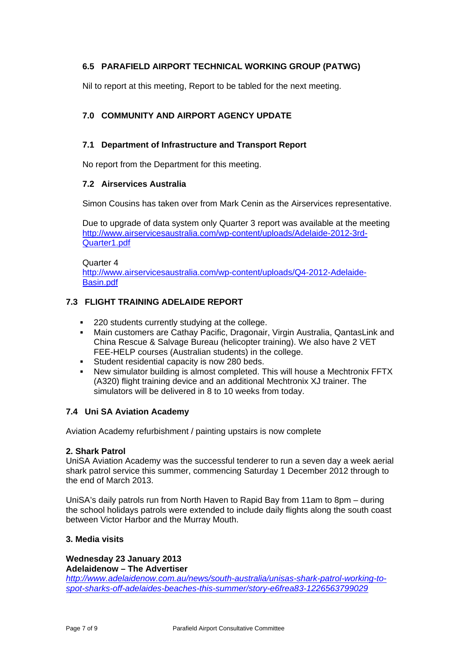# **6.5 PARAFIELD AIRPORT TECHNICAL WORKING GROUP (PATWG)**

Nil to report at this meeting, Report to be tabled for the next meeting.

# **7.0 COMMUNITY AND AIRPORT AGENCY UPDATE**

# **7.1 Department of Infrastructure and Transport Report**

No report from the Department for this meeting.

## **7.2 Airservices Australia**

Simon Cousins has taken over from Mark Cenin as the Airservices representative.

Due to upgrade of data system only Quarter 3 report was available at the meeting http://www.airservicesaustralia.com/wp-content/uploads/Adelaide-2012-3rd-Quarter1.pdf

Quarter 4 http://www.airservicesaustralia.com/wp-content/uploads/Q4-2012-Adelaide-Basin.pdf

# **7.3 FLIGHT TRAINING ADELAIDE REPORT**

- **220 students currently studying at the college.**
- Main customers are Cathay Pacific, Dragonair, Virgin Australia, QantasLink and China Rescue & Salvage Bureau (helicopter training). We also have 2 VET FEE-HELP courses (Australian students) in the college.
- Student residential capacity is now 280 beds.
- New simulator building is almost completed. This will house a Mechtronix FFTX (A320) flight training device and an additional Mechtronix XJ trainer. The simulators will be delivered in 8 to 10 weeks from today.

## **7.4 Uni SA Aviation Academy**

Aviation Academy refurbishment / painting upstairs is now complete

## **2. Shark Patrol**

UniSA Aviation Academy was the successful tenderer to run a seven day a week aerial shark patrol service this summer, commencing Saturday 1 December 2012 through to the end of March 2013.

UniSA's daily patrols run from North Haven to Rapid Bay from 11am to 8pm – during the school holidays patrols were extended to include daily flights along the south coast between Victor Harbor and the Murray Mouth.

## **3. Media visits**

**Wednesday 23 January 2013 Adelaidenow – The Advertiser** 

*http://www.adelaidenow.com.au/news/south-australia/unisas-shark-patrol-working-tospot-sharks-off-adelaides-beaches-this-summer/story-e6frea83-1226563799029*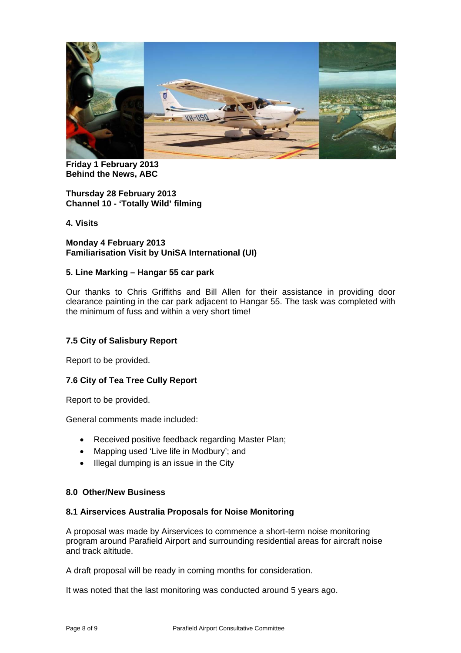

**Friday 1 February 2013 Behind the News, ABC** 

**Thursday 28 February 2013 Channel 10 - 'Totally Wild' filming** 

**4. Visits** 

### **Monday 4 February 2013 Familiarisation Visit by UniSA International (UI)**

## **5. Line Marking – Hangar 55 car park**

Our thanks to Chris Griffiths and Bill Allen for their assistance in providing door clearance painting in the car park adjacent to Hangar 55. The task was completed with the minimum of fuss and within a very short time!

## **7.5 City of Salisbury Report**

Report to be provided.

## **7.6 City of Tea Tree Cully Report**

Report to be provided.

General comments made included:

- Received positive feedback regarding Master Plan;
- Mapping used 'Live life in Modbury'; and
- Illegal dumping is an issue in the City

### **8.0 Other/New Business**

### **8.1 Airservices Australia Proposals for Noise Monitoring**

A proposal was made by Airservices to commence a short-term noise monitoring program around Parafield Airport and surrounding residential areas for aircraft noise and track altitude.

A draft proposal will be ready in coming months for consideration.

It was noted that the last monitoring was conducted around 5 years ago.